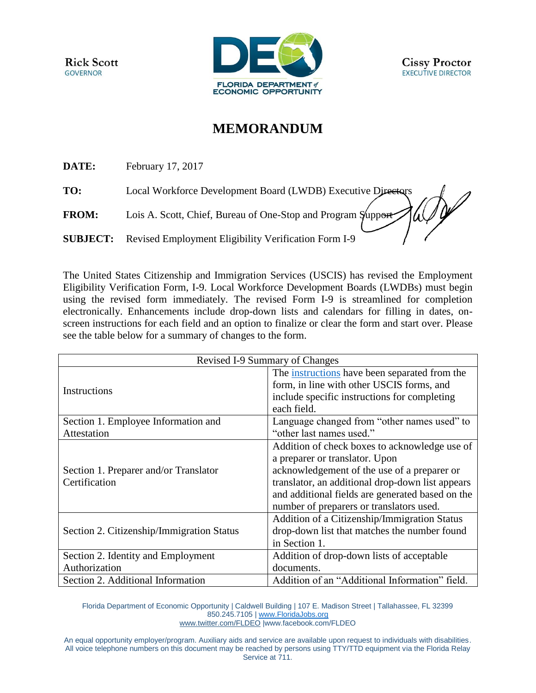**Rick Scott GOVERNOR** 



## **MEMORANDUM**

**DATE:** February 17, 2017

**TO:** Local Workforce Development Board (LWDB) Executive Directors

**FROM:** Lois A. Scott, Chief, Bureau of One-Stop and Program Support

**SUBJECT:** Revised Employment Eligibility Verification Form I-9

The United States Citizenship and Immigration Services (USCIS) has revised the Employment Eligibility Verification Form, I-9. Local Workforce Development Boards (LWDBs) must begin using the revised form immediately. The revised Form I-9 is streamlined for completion electronically. Enhancements include drop-down lists and calendars for filling in dates, onscreen instructions for each field and an option to finalize or clear the form and start over. Please see the table below for a summary of changes to the form.

| Revised I-9 Summary of Changes                         |                                                                                                                                                                                                                                                                                    |
|--------------------------------------------------------|------------------------------------------------------------------------------------------------------------------------------------------------------------------------------------------------------------------------------------------------------------------------------------|
| Instructions                                           | The instructions have been separated from the<br>form, in line with other USCIS forms, and<br>include specific instructions for completing<br>each field.                                                                                                                          |
| Section 1. Employee Information and                    | Language changed from "other names used" to                                                                                                                                                                                                                                        |
| Attestation                                            | "other last names used."                                                                                                                                                                                                                                                           |
| Section 1. Preparer and/or Translator<br>Certification | Addition of check boxes to acknowledge use of<br>a preparer or translator. Upon<br>acknowledgement of the use of a preparer or<br>translator, an additional drop-down list appears<br>and additional fields are generated based on the<br>number of preparers or translators used. |
| Section 2. Citizenship/Immigration Status              | Addition of a Citizenship/Immigration Status<br>drop-down list that matches the number found<br>in Section 1.                                                                                                                                                                      |
| Section 2. Identity and Employment                     | Addition of drop-down lists of acceptable                                                                                                                                                                                                                                          |
| Authorization                                          | documents.                                                                                                                                                                                                                                                                         |
| Section 2. Additional Information                      | Addition of an "Additional Information" field.                                                                                                                                                                                                                                     |

Florida Department of Economic Opportunity | Caldwell Building | 107 E. Madison Street | Tallahassee, FL 32399 850.245.7105 | [www.FloridaJobs.org](http://www.floridajobs.org/) [www.twitter.com/FLDEO](http://www.twitter.com/FLDEO) |www.facebook.com/FLDEO

An equal opportunity employer/program. Auxiliary aids and service are available upon request to individuals with disabilities. All voice telephone numbers on this document may be reached by persons using TTY/TTD equipment via the Florida Relay Service at 711.